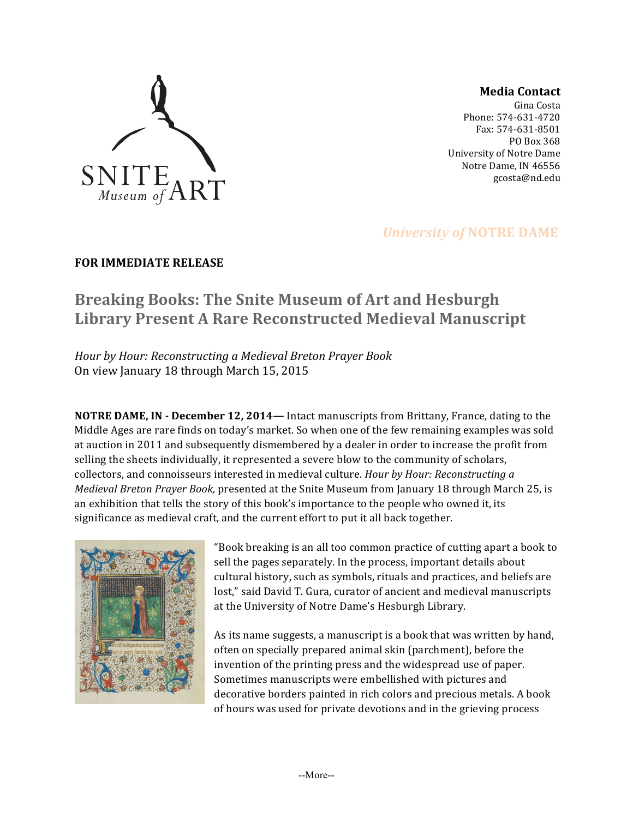

**Media Contact**

Gina Costa Phone: 574-631-4720 Fax: 574-631-8501 PO Box 368 University of Notre Dame Notre Dame, IN 46556 gcosta@nd.edu

## *University of NOTRE DAME*

### **FOR IMMEDIATE RELEASE**

# **Breaking Books: The Snite Museum of Art and Hesburgh** Library Present A Rare Reconstructed Medieval Manuscript

*Hour by Hour: Reconstructing a Medieval Breton Prayer Book* On view January 18 through March 15, 2015

**NOTRE DAME, IN - December 12, 2014—** Intact manuscripts from Brittany, France, dating to the Middle Ages are rare finds on today's market. So when one of the few remaining examples was sold at auction in 2011 and subsequently dismembered by a dealer in order to increase the profit from selling the sheets individually, it represented a severe blow to the community of scholars, collectors, and connoisseurs interested in medieval culture. *Hour by Hour: Reconstructing a Medieval Breton Prayer Book,* presented at the Snite Museum from January 18 through March 25, is an exhibition that tells the story of this book's importance to the people who owned it, its significance as medieval craft, and the current effort to put it all back together.



"Book breaking is an all too common practice of cutting apart a book to sell the pages separately. In the process, important details about cultural history, such as symbols, rituals and practices, and beliefs are lost," said David T. Gura, curator of ancient and medieval manuscripts at the University of Notre Dame's Hesburgh Library.

As its name suggests, a manuscript is a book that was written by hand, often on specially prepared animal skin (parchment), before the invention of the printing press and the widespread use of paper. Sometimes manuscripts were embellished with pictures and decorative borders painted in rich colors and precious metals. A book of hours was used for private devotions and in the grieving process